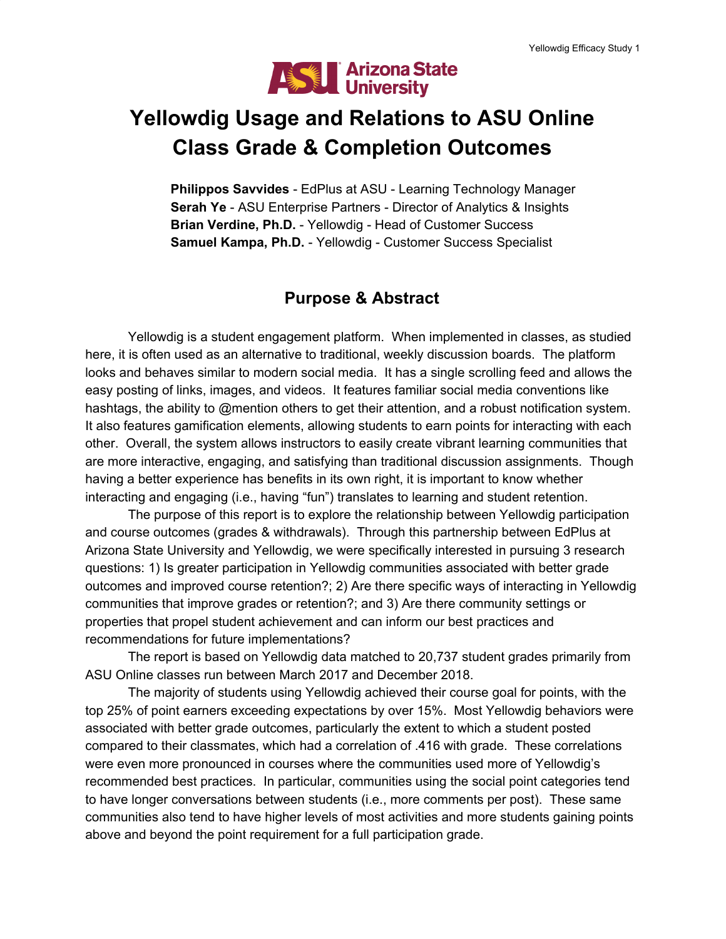

# **Yellowdig Usage and Relations to ASU Online Class Grade & Completion Outcomes**

**Philippos Savvides** - EdPlus at ASU - Learning Technology Manager **Serah Ye** - ASU Enterprise Partners - Director of Analytics & Insights **Brian Verdine, Ph.D.** - Yellowdig - Head of Customer Success **Samuel Kampa, Ph.D.** - Yellowdig - Customer Success Specialist

# **Purpose & Abstract**

Yellowdig is a student engagement platform. When implemented in classes, as studied here, it is often used as an alternative to traditional, weekly discussion boards. The platform looks and behaves similar to modern social media. It has a single scrolling feed and allows the easy posting of links, images, and videos. It features familiar social media conventions like hashtags, the ability to @mention others to get their attention, and a robust notification system. It also features gamification elements, allowing students to earn points for interacting with each other. Overall, the system allows instructors to easily create vibrant learning communities that are more interactive, engaging, and satisfying than traditional discussion assignments. Though having a better experience has benefits in its own right, it is important to know whether interacting and engaging (i.e., having "fun") translates to learning and student retention.

The purpose of this report is to explore the relationship between Yellowdig participation and course outcomes (grades & withdrawals). Through this partnership between EdPlus at Arizona State University and Yellowdig, we were specifically interested in pursuing 3 research questions: 1) Is greater participation in Yellowdig communities associated with better grade outcomes and improved course retention?; 2) Are there specific ways of interacting in Yellowdig communities that improve grades or retention?; and 3) Are there community settings or properties that propel student achievement and can inform our best practices and recommendations for future implementations?

The report is based on Yellowdig data matched to 20,737 student grades primarily from ASU Online classes run between March 2017 and December 2018.

The majority of students using Yellowdig achieved their course goal for points, with the top 25% of point earners exceeding expectations by over 15%. Most Yellowdig behaviors were associated with better grade outcomes, particularly the extent to which a student posted compared to their classmates, which had a correlation of .416 with grade. These correlations were even more pronounced in courses where the communities used more of Yellowdig's recommended best practices. In particular, communities using the social point categories tend to have longer conversations between students (i.e., more comments per post). These same communities also tend to have higher levels of most activities and more students gaining points above and beyond the point requirement for a full participation grade.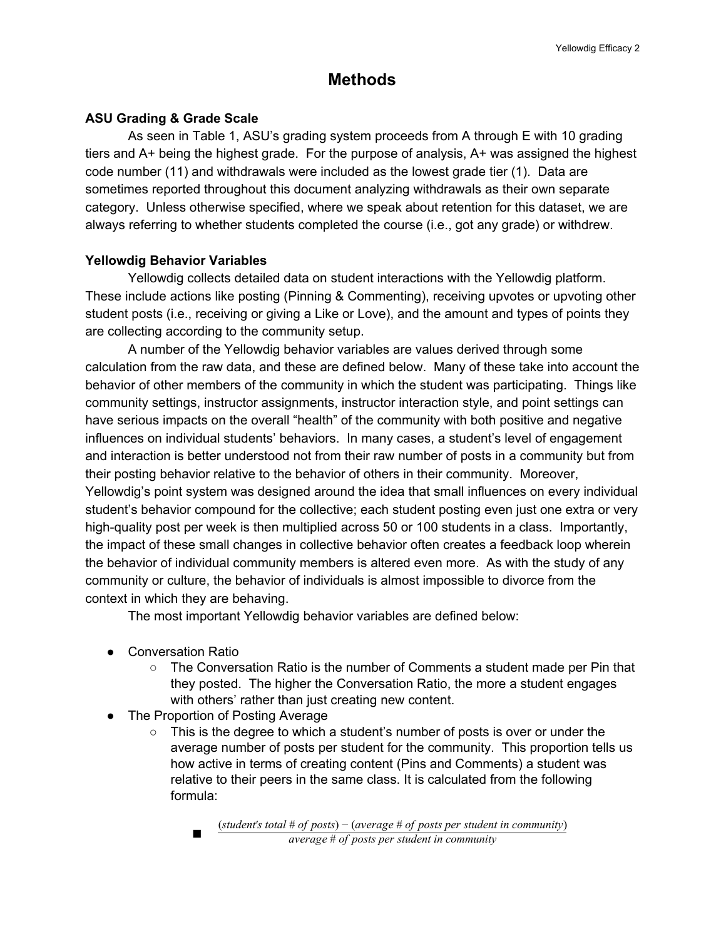# **Methods**

### **ASU Grading & Grade Scale**

As seen in Table 1, ASU's grading system proceeds from A through E with 10 grading tiers and A+ being the highest grade. For the purpose of analysis, A+ was assigned the highest code number (11) and withdrawals were included as the lowest grade tier (1). Data are sometimes reported throughout this document analyzing withdrawals as their own separate category. Unless otherwise specified, where we speak about retention for this dataset, we are always referring to whether students completed the course (i.e., got any grade) or withdrew.

### **Yellowdig Behavior Variables**

Yellowdig collects detailed data on student interactions with the Yellowdig platform. These include actions like posting (Pinning & Commenting), receiving upvotes or upvoting other student posts (i.e., receiving or giving a Like or Love), and the amount and types of points they are collecting according to the community setup.

A number of the Yellowdig behavior variables are values derived through some calculation from the raw data, and these are defined below. Many of these take into account the behavior of other members of the community in which the student was participating. Things like community settings, instructor assignments, instructor interaction style, and point settings can have serious impacts on the overall "health" of the community with both positive and negative influences on individual students' behaviors. In many cases, a student's level of engagement and interaction is better understood not from their raw number of posts in a community but from their posting behavior relative to the behavior of others in their community. Moreover, Yellowdig's point system was designed around the idea that small influences on every individual student's behavior compound for the collective; each student posting even just one extra or very high-quality post per week is then multiplied across 50 or 100 students in a class. Importantly, the impact of these small changes in collective behavior often creates a feedback loop wherein the behavior of individual community members is altered even more. As with the study of any community or culture, the behavior of individuals is almost impossible to divorce from the context in which they are behaving.

The most important Yellowdig behavior variables are defined below:

- Conversation Ratio
	- $\circ$  The Conversation Ratio is the number of Comments a student made per Pin that they posted. The higher the Conversation Ratio, the more a student engages with others' rather than just creating new content.
- The Proportion of Posting Average
	- $\circ$  This is the degree to which a student's number of posts is over or under the average number of posts per student for the community. This proportion tells us how active in terms of creating content (Pins and Comments) a student was relative to their peers in the same class. It is calculated from the following formula:

■ *average* # *of posts per student in community* (*student*′*s total* # *of posts*) − (*average* # *of posts per student in community*)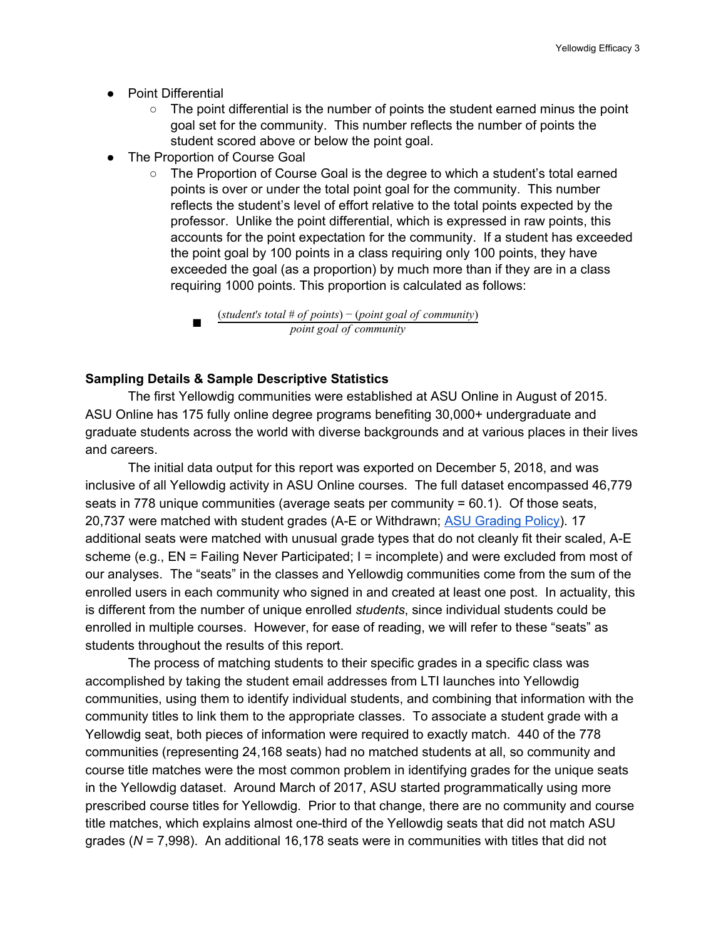- Point Differential
	- $\circ$  The point differential is the number of points the student earned minus the point goal set for the community. This number reflects the number of points the student scored above or below the point goal.
- The Proportion of Course Goal
	- The Proportion of Course Goal is the degree to which a student's total earned points is over or under the total point goal for the community. This number reflects the student's level of effort relative to the total points expected by the professor. Unlike the point differential, which is expressed in raw points, this accounts for the point expectation for the community. If a student has exceeded the point goal by 100 points in a class requiring only 100 points, they have exceeded the goal (as a proportion) by much more than if they are in a class requiring 1000 points. This proportion is calculated as follows:

#### **Sampling Details & Sample Descriptive Statistics**

The first Yellowdig communities were established at ASU Online in August of 2015. ASU Online has 175 fully online degree programs benefiting 30,000+ undergraduate and graduate students across the world with diverse backgrounds and at various places in their lives and careers.

The initial data output for this report was exported on December 5, 2018, and was inclusive of all Yellowdig activity in ASU Online courses. The full dataset encompassed 46,779 seats in 778 unique communities (average seats per community = 60.1). Of those seats, 20,737 were matched with student grades (A-E or Withdrawn; ASU [Grading](https://drive.google.com/file/d/1JF8BgSL3CRMazm31EDunzkBL_HmB2SDg/view?usp=drive_web) Policy). 17 additional seats were matched with unusual grade types that do not cleanly fit their scaled, A-E scheme (e.g., EN = Failing Never Participated; I = incomplete) and were excluded from most of our analyses. The "seats" in the classes and Yellowdig communities come from the sum of the enrolled users in each community who signed in and created at least one post. In actuality, this is different from the number of unique enrolled *students*, since individual students could be enrolled in multiple courses. However, for ease of reading, we will refer to these "seats" as students throughout the results of this report.

The process of matching students to their specific grades in a specific class was accomplished by taking the student email addresses from LTI launches into Yellowdig communities, using them to identify individual students, and combining that information with the community titles to link them to the appropriate classes. To associate a student grade with a Yellowdig seat, both pieces of information were required to exactly match. 440 of the 778 communities (representing 24,168 seats) had no matched students at all, so community and course title matches were the most common problem in identifying grades for the unique seats in the Yellowdig dataset. Around March of 2017, ASU started programmatically using more prescribed course titles for Yellowdig. Prior to that change, there are no community and course title matches, which explains almost one-third of the Yellowdig seats that did not match ASU grades (*N* = 7,998). An additional 16,178 seats were in communities with titles that did not

<sup>■</sup> *point goal of community* (*student*′*s total* # *of points*) − (*point goal of community*)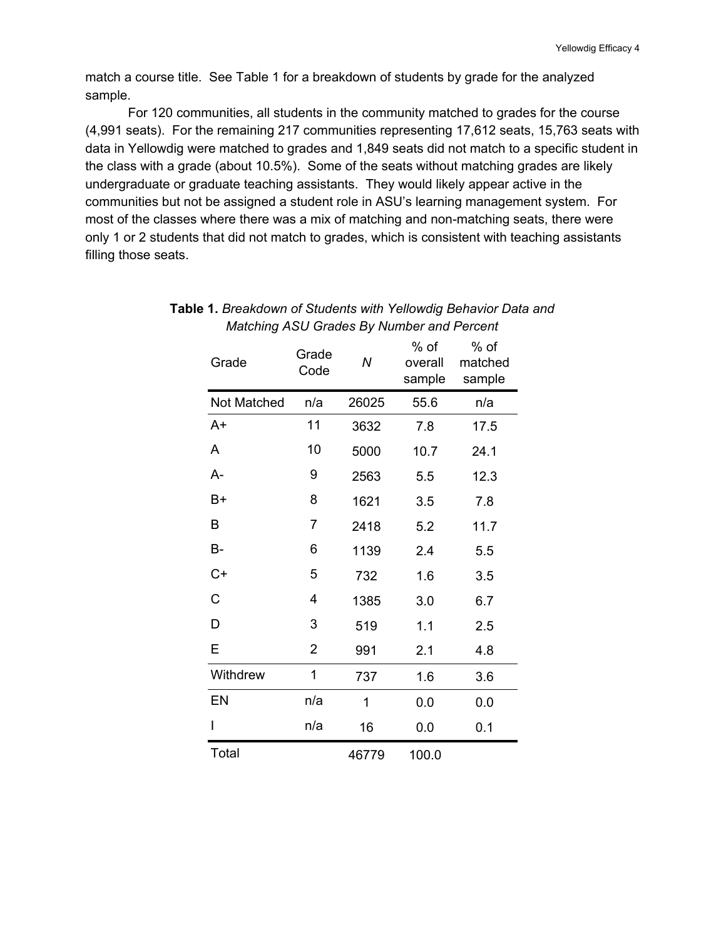match a course title. See Table 1 for a breakdown of students by grade for the analyzed sample.

For 120 communities, all students in the community matched to grades for the course (4,991 seats). For the remaining 217 communities representing 17,612 seats, 15,763 seats with data in Yellowdig were matched to grades and 1,849 seats did not match to a specific student in the class with a grade (about 10.5%). Some of the seats without matching grades are likely undergraduate or graduate teaching assistants. They would likely appear active in the communities but not be assigned a student role in ASU's learning management system. For most of the classes where there was a mix of matching and non-matching seats, there were only 1 or 2 students that did not match to grades, which is consistent with teaching assistants filling those seats.

| Grade       | Grade<br>Code  | Ν     | % of<br>overall<br>sample | % of<br>matched<br>sample |
|-------------|----------------|-------|---------------------------|---------------------------|
| Not Matched | n/a            | 26025 | 55.6                      | n/a                       |
| A+          | 11             | 3632  | 7.8                       | 17.5                      |
| A           | 10             | 5000  | 10.7                      | 24.1                      |
| A-          | 9              | 2563  | 5.5                       | 12.3                      |
| B+          | 8              | 1621  | 3.5                       | 7.8                       |
| Β           | 7              | 2418  | 5.2                       | 11.7                      |
| B-          | 6              | 1139  | 2.4                       | 5.5                       |
| $C+$        | 5              | 732   | 1.6                       | 3.5                       |
| C           | 4              | 1385  | 3.0                       | 6.7                       |
| D           | 3              | 519   | 1.1                       | 2.5                       |
| E           | $\overline{2}$ | 991   | 2.1                       | 4.8                       |
| Withdrew    | 1              | 737   | 1.6                       | 3.6                       |
| EN          | n/a            | 1     | 0.0                       | 0.0                       |
| I           | n/a            | 16    | 0.0                       | 0.1                       |
| Total       |                | 46779 | 100.0                     |                           |

### **Table 1.** *Breakdown of Students with Yellowdig Behavior Data and Matching ASU Grades By Number and Percent*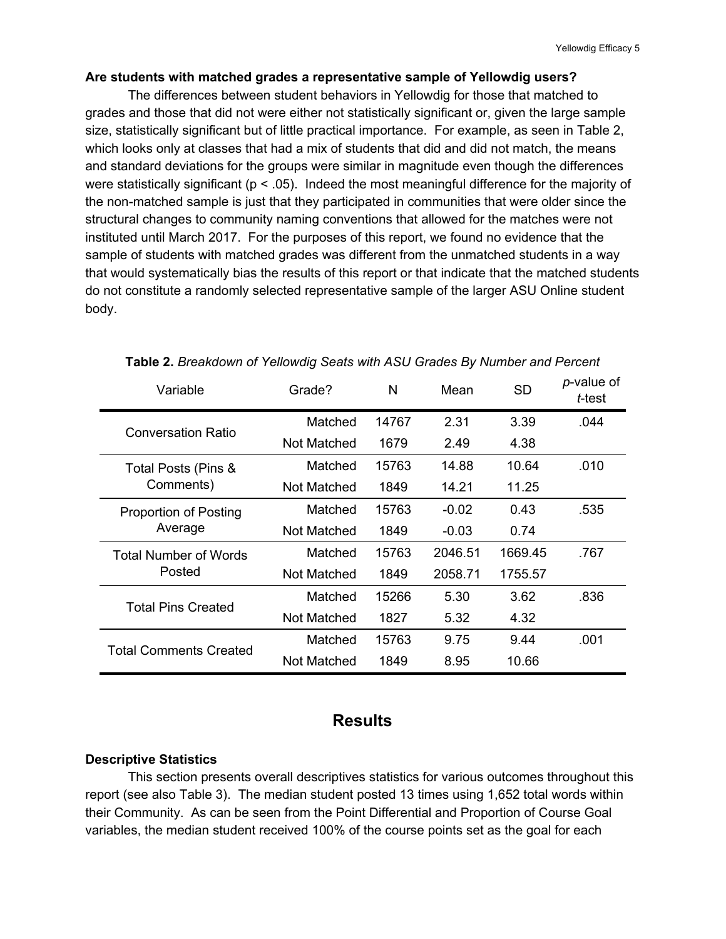#### **Are students with matched grades a representative sample of Yellowdig users?**

The differences between student behaviors in Yellowdig for those that matched to grades and those that did not were either not statistically significant or, given the large sample size, statistically significant but of little practical importance. For example, as seen in Table 2, which looks only at classes that had a mix of students that did and did not match, the means and standard deviations for the groups were similar in magnitude even though the differences were statistically significant ( $p < .05$ ). Indeed the most meaningful difference for the majority of the non-matched sample is just that they participated in communities that were older since the structural changes to community naming conventions that allowed for the matches were not instituted until March 2017. For the purposes of this report, we found no evidence that the sample of students with matched grades was different from the unmatched students in a way that would systematically bias the results of this report or that indicate that the matched students do not constitute a randomly selected representative sample of the larger ASU Online student body.

| Grade?<br>Variable            |             | N     | Mean    | <b>SD</b> | p-value of<br>t-test |
|-------------------------------|-------------|-------|---------|-----------|----------------------|
| Conversation Ratio            | Matched     | 14767 | 2.31    | 3.39      | .044                 |
|                               | Not Matched | 1679  | 2.49    | 4.38      |                      |
| Total Posts (Pins &           | Matched     | 15763 | 14.88   | 10.64     | .010                 |
| Comments)                     | Not Matched | 1849  | 14.21   | 11.25     |                      |
| Proportion of Posting         | Matched     | 15763 | $-0.02$ | 0.43      | .535                 |
| Average                       | Not Matched | 1849  | $-0.03$ | 0.74      |                      |
| Total Number of Words         | Matched     | 15763 | 2046.51 | 1669.45   | .767                 |
| Posted                        | Not Matched | 1849  | 2058.71 | 1755.57   |                      |
| <b>Total Pins Created</b>     | Matched     | 15266 | 5.30    | 3.62      | .836                 |
|                               | Not Matched | 1827  | 5.32    | 4.32      |                      |
| <b>Total Comments Created</b> | Matched     | 15763 | 9.75    | 9.44      | .001                 |
|                               | Not Matched | 1849  | 8.95    | 10.66     |                      |

#### **Table 2.** *Breakdown of Yellowdig Seats with ASU Grades By Number and Percent*

# **Results**

#### **Descriptive Statistics**

This section presents overall descriptives statistics for various outcomes throughout this report (see also Table 3). The median student posted 13 times using 1,652 total words within their Community. As can be seen from the Point Differential and Proportion of Course Goal variables, the median student received 100% of the course points set as the goal for each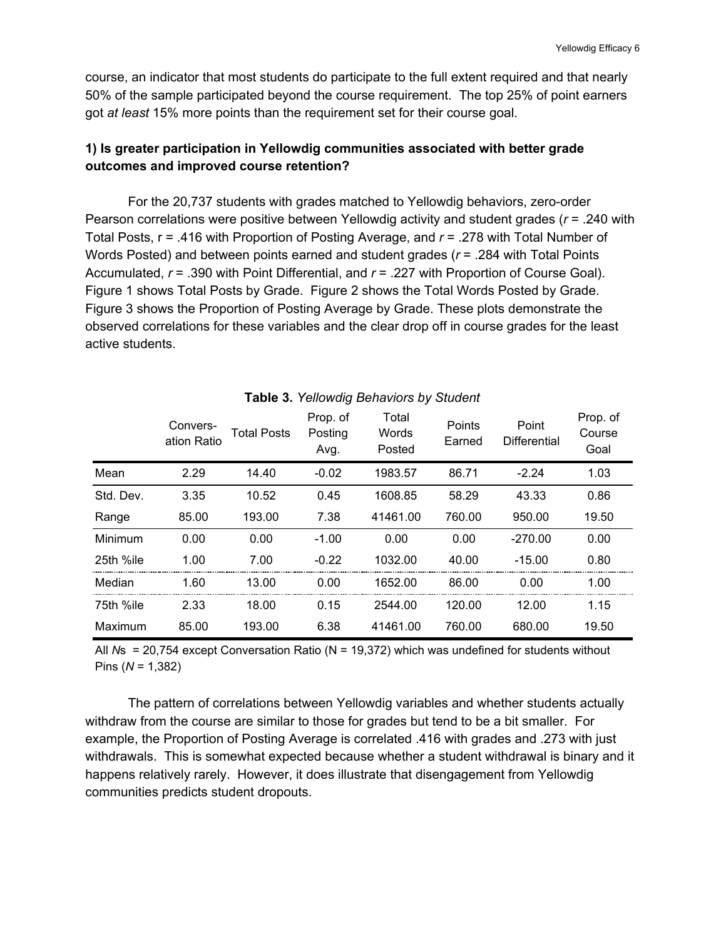course, an indicator that most students do participate to the full extent required and that nearly 50% of the sample participated beyond the course requirement. The top 25% of point earners got *at least* 15% more points than the requirement set for their course goal.

# **1) Is greater participation in Yellowdig communities associated with better grade outcomes and improved course retention?**

For the 20,737 students with grades matched to Yellowdig behaviors, zero-order Pearson correlations were positive between Yellowdig activity and student grades (*r* = .240 with Total Posts, r = .416 with Proportion of Posting Average, and *r* = .278 with Total Number of Words Posted) and between points earned and student grades (*r* = .284 with Total Points Accumulated, *r* = .390 with Point Differential, and *r* = .227 with Proportion of Course Goal). Figure 1 shows Total Posts by Grade. Figure 2 shows the Total Words Posted by Grade. Figure 3 shows the Proportion of Posting Average by Grade. These plots demonstrate the observed correlations for these variables and the clear drop off in course grades for the least active students.

|           | Convers-<br>ation Ratio | Total Posts | Prop. of<br>Posting<br>Avg. | Total<br>Words<br>Posted | Points<br>Earned | Point<br>Differential | Prop. of<br>Course<br>Goal |
|-----------|-------------------------|-------------|-----------------------------|--------------------------|------------------|-----------------------|----------------------------|
| Mean      | 2.29                    | 14.40       | $-0.02$                     | 1983.57                  | 86.71            | $-2.24$               | 1.03                       |
| Std. Dev. | 3.35                    | 10.52       | 0.45                        | 1608.85                  | 58.29            | 43.33                 | 0.86                       |
| Range     | 85.00                   | 193.00      | 7.38                        | 41461.00                 | 760.00           | 950.00                | 19.50                      |
| Minimum   | 0.00                    | 0.00        | $-1.00$                     | 0.00                     | 0.00             | $-270.00$             | 0.00                       |
| 25th %ile | 1.00                    | 7.00        | $-0.22$                     | 1032.00                  | 40.00            | $-15.00$              | 0.80                       |
| Median    | 1.60                    | 13.00       | 0.00                        | 1652.00                  | 86.00            | 0.00                  | 1.00                       |
| 75th %ile | 2.33                    | 18.00       | 0.15                        | 2544.00                  | 120.00           | 12.00                 | 1.15                       |
| Maximum   | 85.00                   | 193.00      | 6.38                        | 41461.00                 | 760.00           | 680.00                | 19.50                      |

#### **Table 3.** *Yellowdig Behaviors by Student*

All *N*s = 20,754 except Conversation Ratio (N = 19,372) which was undefined for students without Pins (*N* = 1,382)

The pattern of correlations between Yellowdig variables and whether students actually withdraw from the course are similar to those for grades but tend to be a bit smaller. For example, the Proportion of Posting Average is correlated .416 with grades and .273 with just withdrawals. This is somewhat expected because whether a student withdrawal is binary and it happens relatively rarely. However, it does illustrate that disengagement from Yellowdig communities predicts student dropouts.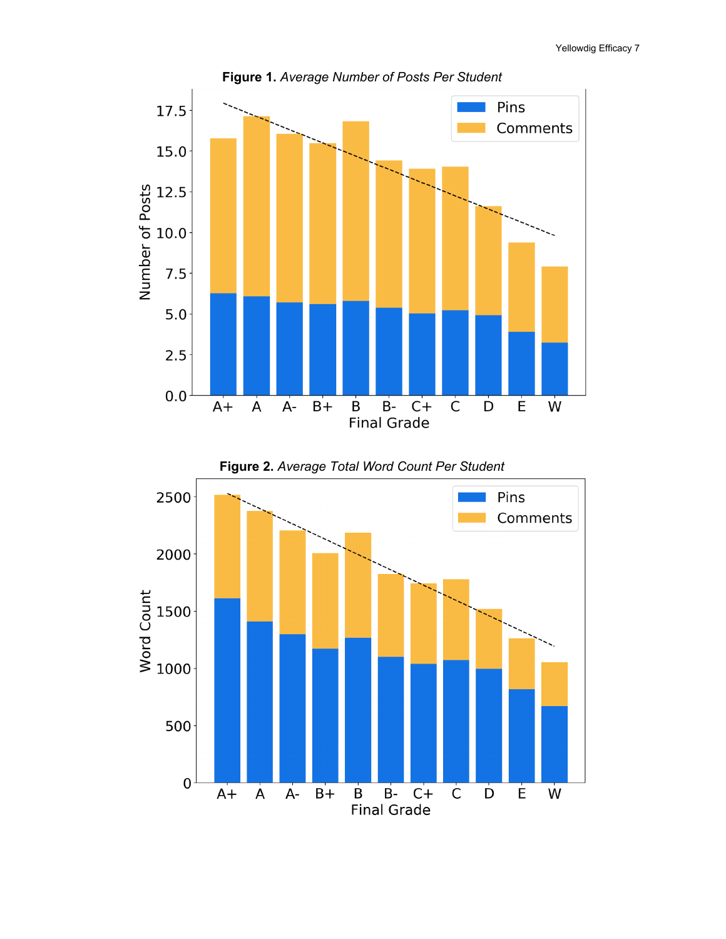Yellowdig Efficacy 7





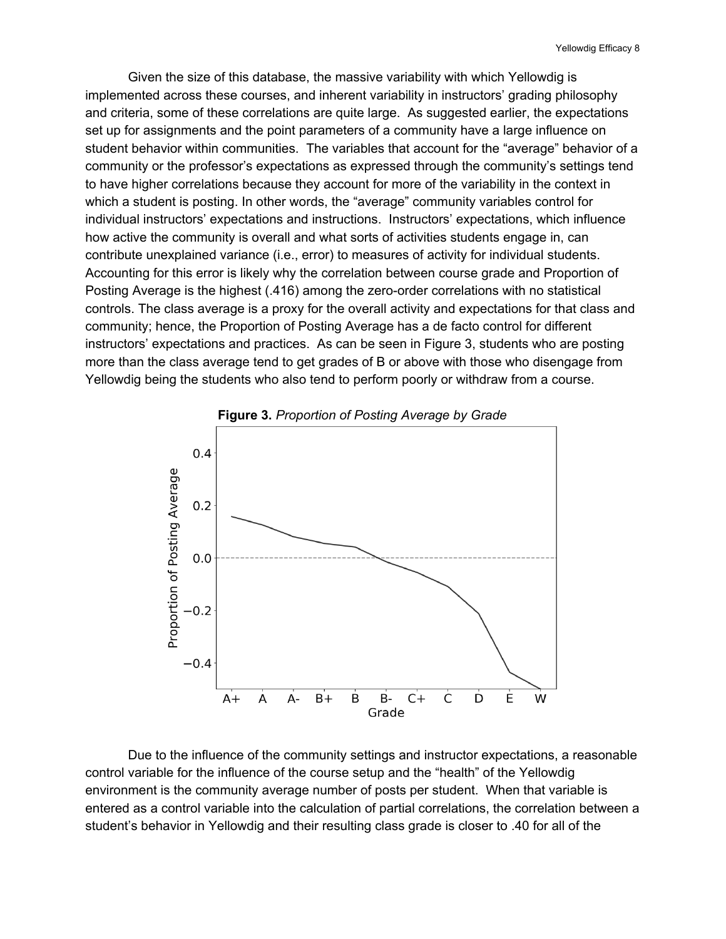Given the size of this database, the massive variability with which Yellowdig is implemented across these courses, and inherent variability in instructors' grading philosophy and criteria, some of these correlations are quite large. As suggested earlier, the expectations set up for assignments and the point parameters of a community have a large influence on student behavior within communities. The variables that account for the "average" behavior of a community or the professor's expectations as expressed through the community's settings tend to have higher correlations because they account for more of the variability in the context in which a student is posting. In other words, the "average" community variables control for individual instructors' expectations and instructions. Instructors' expectations, which influence how active the community is overall and what sorts of activities students engage in, can contribute unexplained variance (i.e., error) to measures of activity for individual students. Accounting for this error is likely why the correlation between course grade and Proportion of Posting Average is the highest (.416) among the zero-order correlations with no statistical controls. The class average is a proxy for the overall activity and expectations for that class and community; hence, the Proportion of Posting Average has a de facto control for different instructors' expectations and practices. As can be seen in Figure 3, students who are posting more than the class average tend to get grades of B or above with those who disengage from Yellowdig being the students who also tend to perform poorly or withdraw from a course.



Due to the influence of the community settings and instructor expectations, a reasonable control variable for the influence of the course setup and the "health" of the Yellowdig environment is the community average number of posts per student. When that variable is entered as a control variable into the calculation of partial correlations, the correlation between a student's behavior in Yellowdig and their resulting class grade is closer to .40 for all of the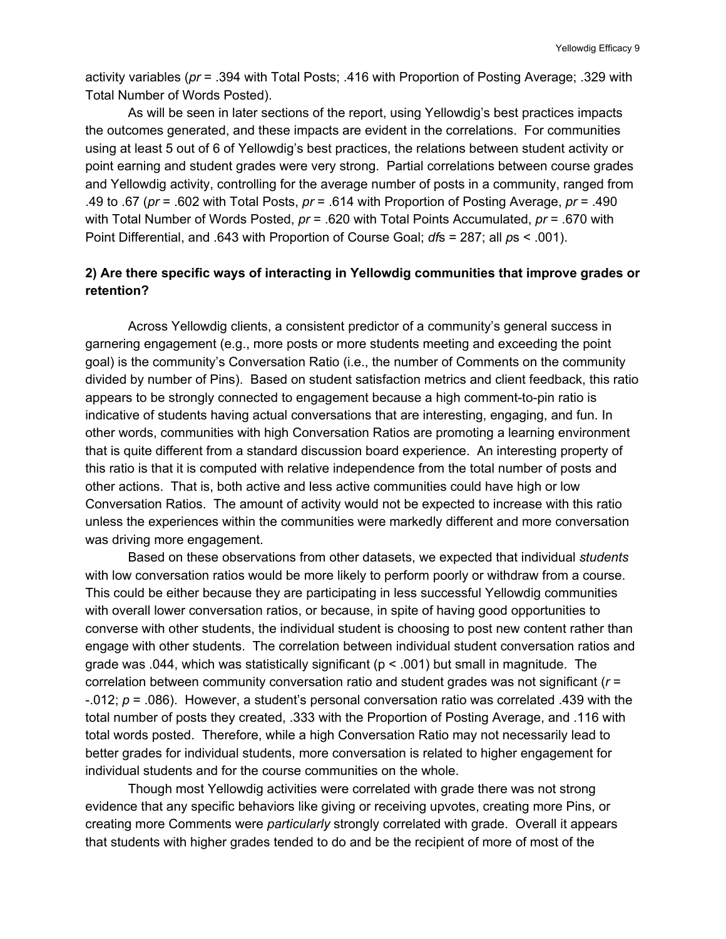activity variables (*pr* = .394 with Total Posts; .416 with Proportion of Posting Average; .329 with Total Number of Words Posted).

As will be seen in later sections of the report, using Yellowdig's best practices impacts the outcomes generated, and these impacts are evident in the correlations. For communities using at least 5 out of 6 of Yellowdig's best practices, the relations between student activity or point earning and student grades were very strong. Partial correlations between course grades and Yellowdig activity, controlling for the average number of posts in a community, ranged from .49 to .67 (*pr* = .602 with Total Posts, *pr* = .614 with Proportion of Posting Average, *pr* = .490 with Total Number of Words Posted, *pr* = .620 with Total Points Accumulated, *pr* = .670 with Point Differential, and .643 with Proportion of Course Goal; *df*s = 287; all *p*s < .001).

### **2) Are there specific ways of interacting in Yellowdig communities that improve grades or retention?**

Across Yellowdig clients, a consistent predictor of a community's general success in garnering engagement (e.g., more posts or more students meeting and exceeding the point goal) is the community's Conversation Ratio (i.e., the number of Comments on the community divided by number of Pins). Based on student satisfaction metrics and client feedback, this ratio appears to be strongly connected to engagement because a high comment-to-pin ratio is indicative of students having actual conversations that are interesting, engaging, and fun. In other words, communities with high Conversation Ratios are promoting a learning environment that is quite different from a standard discussion board experience. An interesting property of this ratio is that it is computed with relative independence from the total number of posts and other actions. That is, both active and less active communities could have high or low Conversation Ratios. The amount of activity would not be expected to increase with this ratio unless the experiences within the communities were markedly different and more conversation was driving more engagement.

Based on these observations from other datasets, we expected that individual *students* with low conversation ratios would be more likely to perform poorly or withdraw from a course. This could be either because they are participating in less successful Yellowdig communities with overall lower conversation ratios, or because, in spite of having good opportunities to converse with other students, the individual student is choosing to post new content rather than engage with other students. The correlation between individual student conversation ratios and grade was .044, which was statistically significant ( $p < .001$ ) but small in magnitude. The correlation between community conversation ratio and student grades was not significant (*r* = -.012; *p* = .086). However, a student's personal conversation ratio was correlated .439 with the total number of posts they created, .333 with the Proportion of Posting Average, and .116 with total words posted. Therefore, while a high Conversation Ratio may not necessarily lead to better grades for individual students, more conversation is related to higher engagement for individual students and for the course communities on the whole.

Though most Yellowdig activities were correlated with grade there was not strong evidence that any specific behaviors like giving or receiving upvotes, creating more Pins, or creating more Comments were *particularly* strongly correlated with grade. Overall it appears that students with higher grades tended to do and be the recipient of more of most of the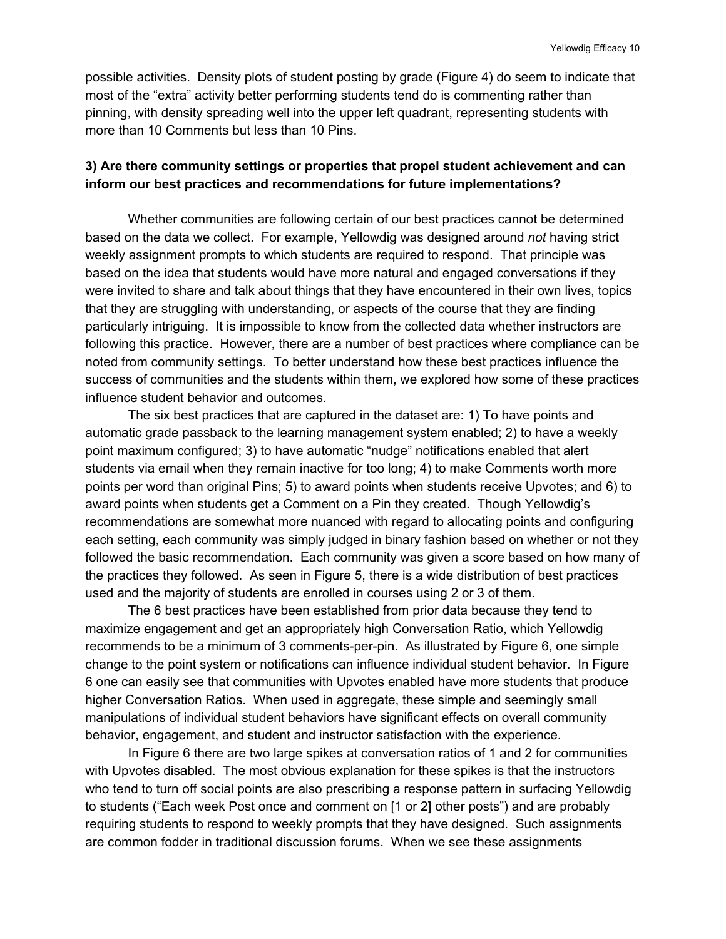possible activities. Density plots of student posting by grade (Figure 4) do seem to indicate that most of the "extra" activity better performing students tend do is commenting rather than pinning, with density spreading well into the upper left quadrant, representing students with more than 10 Comments but less than 10 Pins.

#### **3) Are there community settings or properties that propel student achievement and can inform our best practices and recommendations for future implementations?**

Whether communities are following certain of our best practices cannot be determined based on the data we collect. For example, Yellowdig was designed around *not* having strict weekly assignment prompts to which students are required to respond. That principle was based on the idea that students would have more natural and engaged conversations if they were invited to share and talk about things that they have encountered in their own lives, topics that they are struggling with understanding, or aspects of the course that they are finding particularly intriguing. It is impossible to know from the collected data whether instructors are following this practice. However, there are a number of best practices where compliance can be noted from community settings. To better understand how these best practices influence the success of communities and the students within them, we explored how some of these practices influence student behavior and outcomes.

The six best practices that are captured in the dataset are: 1) To have points and automatic grade passback to the learning management system enabled; 2) to have a weekly point maximum configured; 3) to have automatic "nudge" notifications enabled that alert students via email when they remain inactive for too long; 4) to make Comments worth more points per word than original Pins; 5) to award points when students receive Upvotes; and 6) to award points when students get a Comment on a Pin they created. Though Yellowdig's recommendations are somewhat more nuanced with regard to allocating points and configuring each setting, each community was simply judged in binary fashion based on whether or not they followed the basic recommendation. Each community was given a score based on how many of the practices they followed. As seen in Figure 5, there is a wide distribution of best practices used and the majority of students are enrolled in courses using 2 or 3 of them.

The 6 best practices have been established from prior data because they tend to maximize engagement and get an appropriately high Conversation Ratio, which Yellowdig recommends to be a minimum of 3 comments-per-pin. As illustrated by Figure 6, one simple change to the point system or notifications can influence individual student behavior. In Figure 6 one can easily see that communities with Upvotes enabled have more students that produce higher Conversation Ratios. When used in aggregate, these simple and seemingly small manipulations of individual student behaviors have significant effects on overall community behavior, engagement, and student and instructor satisfaction with the experience.

In Figure 6 there are two large spikes at conversation ratios of 1 and 2 for communities with Upvotes disabled. The most obvious explanation for these spikes is that the instructors who tend to turn off social points are also prescribing a response pattern in surfacing Yellowdig to students ("Each week Post once and comment on [1 or 2] other posts") and are probably requiring students to respond to weekly prompts that they have designed. Such assignments are common fodder in traditional discussion forums. When we see these assignments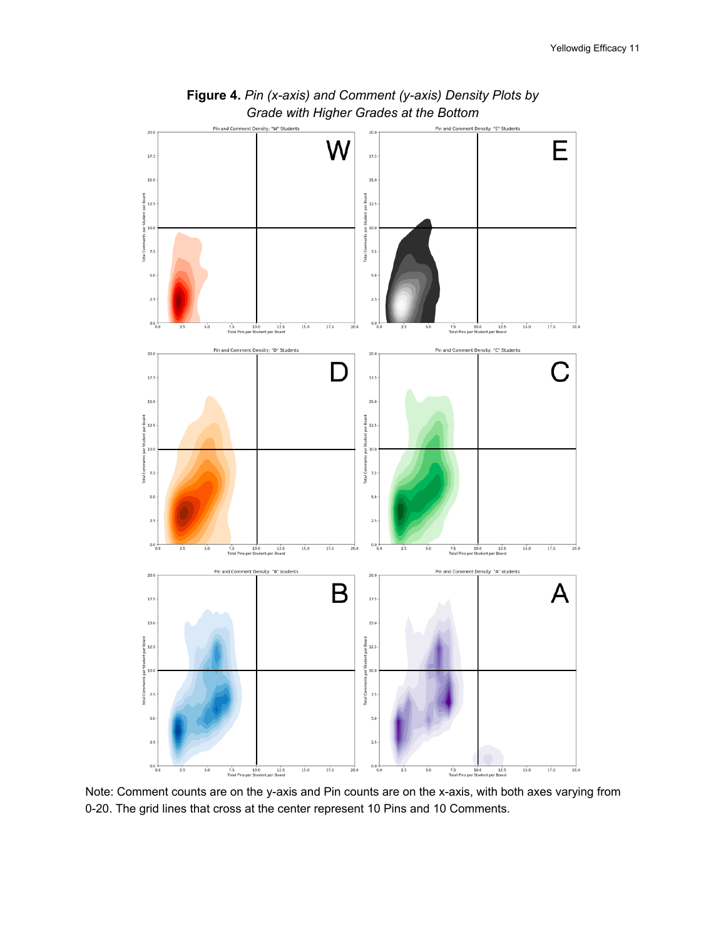

**Figure 4.** *Pin (x-axis) and Comment (y-axis) Density Plots by Grade with Higher Grades at the Bottom*

Note: Comment counts are on the y-axis and Pin counts are on the x-axis, with both axes varying from 0-20. The grid lines that cross at the center represent 10 Pins and 10 Comments.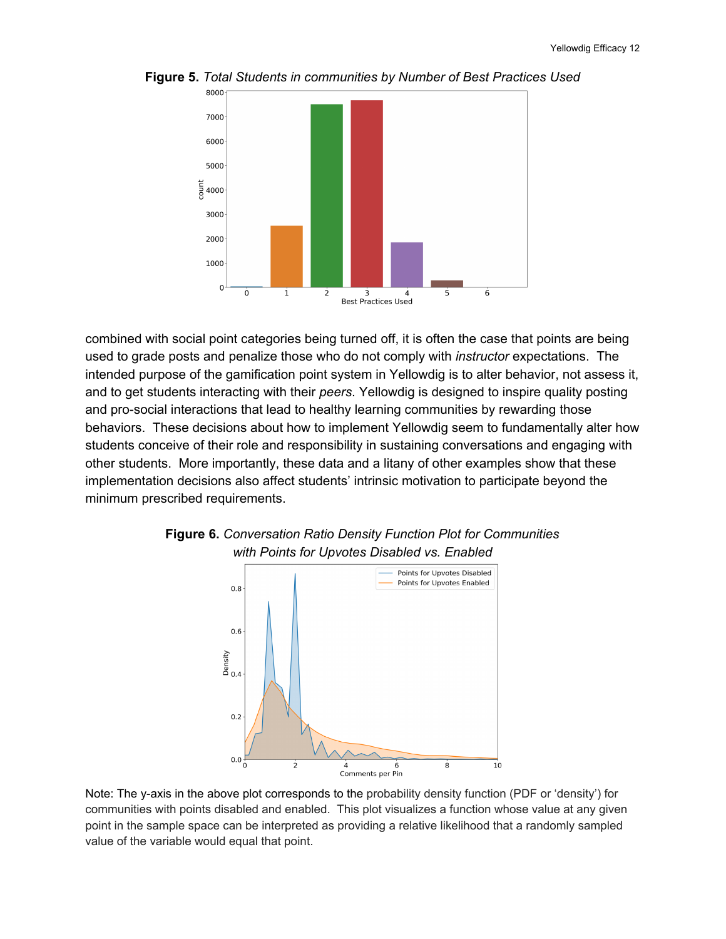

**Figure 5.** *Total Students in communities by Number of Best Practices Used*

combined with social point categories being turned off, it is often the case that points are being used to grade posts and penalize those who do not comply with *instructor* expectations. The intended purpose of the gamification point system in Yellowdig is to alter behavior, not assess it, and to get students interacting with their *peers*. Yellowdig is designed to inspire quality posting and pro-social interactions that lead to healthy learning communities by rewarding those behaviors. These decisions about how to implement Yellowdig seem to fundamentally alter how students conceive of their role and responsibility in sustaining conversations and engaging with other students. More importantly, these data and a litany of other examples show that these implementation decisions also affect students' intrinsic motivation to participate beyond the minimum prescribed requirements.





Note: The y-axis in the above plot corresponds to the probability density function (PDF or 'density') for communities with points disabled and enabled. This plot visualizes a function whose value at any given point in the sample space can be interpreted as providing a relative likelihood that a randomly sampled value of the variable would equal that point.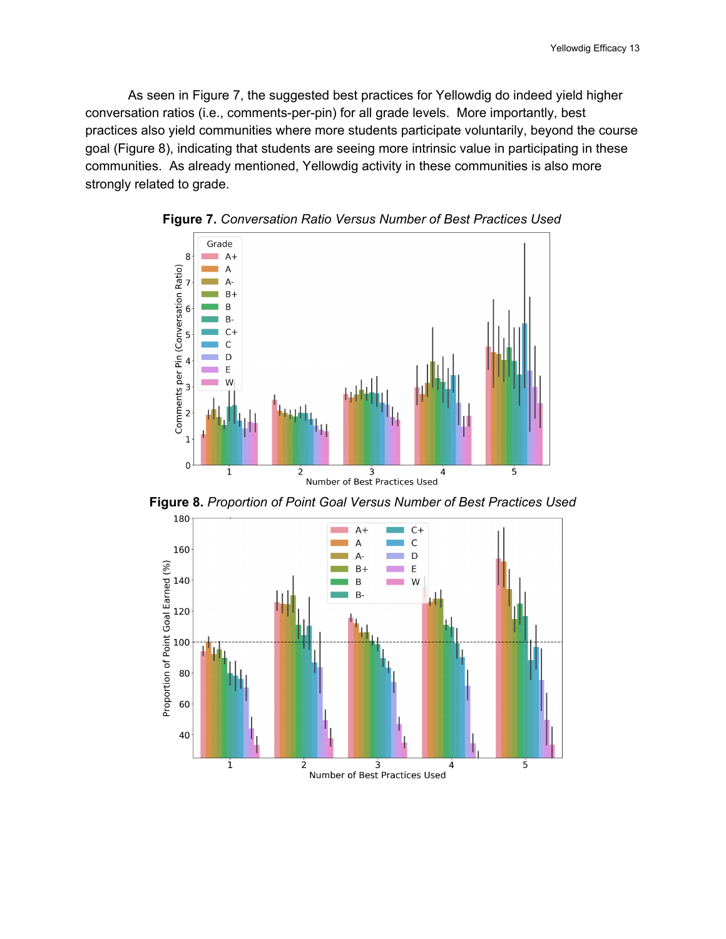As seen in Figure 7, the suggested best practices for Yellowdig do indeed yield higher conversation ratios (i.e., comments-per-pin) for all grade levels. More importantly, best practices also yield communities where more students participate voluntarily, beyond the course goal (Figure 8), indicating that students are seeing more intrinsic value in participating in these communities. As already mentioned, Yellowdig activity in these communities is also more strongly related to grade.





**Figure 8.** *Proportion of Point Goal Versus Number of Best Practices Used*

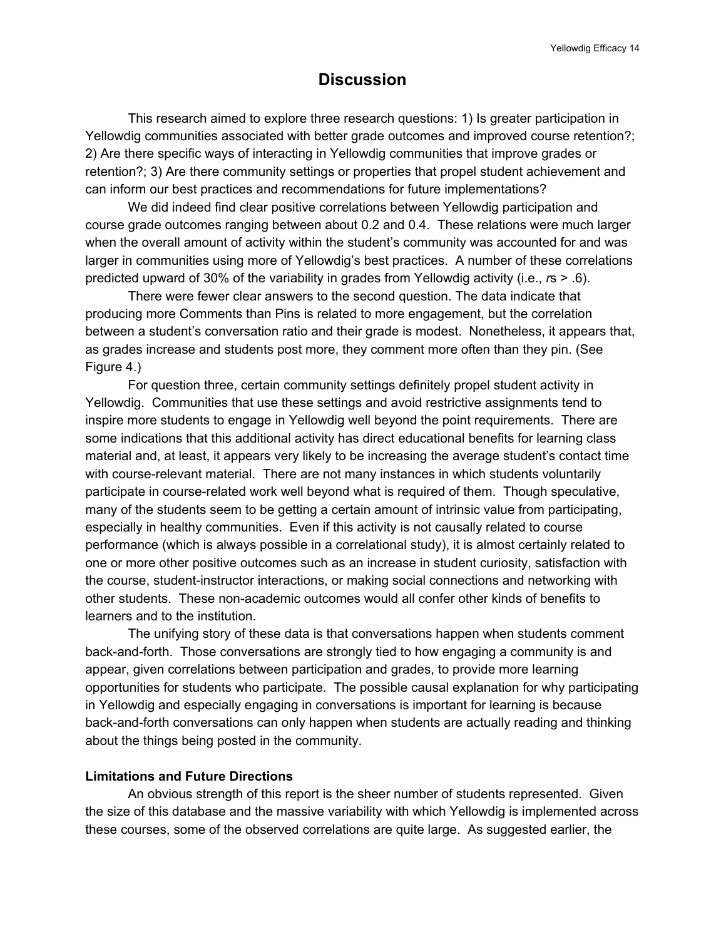# **Discussion**

This research aimed to explore three research questions: 1) Is greater participation in Yellowdig communities associated with better grade outcomes and improved course retention?; 2) Are there specific ways of interacting in Yellowdig communities that improve grades or retention?; 3) Are there community settings or properties that propel student achievement and can inform our best practices and recommendations for future implementations?

We did indeed find clear positive correlations between Yellowdig participation and course grade outcomes ranging between about 0.2 and 0.4. These relations were much larger when the overall amount of activity within the student's community was accounted for and was larger in communities using more of Yellowdig's best practices. A number of these correlations predicted upward of 30% of the variability in grades from Yellowdig activity (i.e., *r*s > .6).

There were fewer clear answers to the second question. The data indicate that producing more Comments than Pins is related to more engagement, but the correlation between a student's conversation ratio and their grade is modest. Nonetheless, it appears that, as grades increase and students post more, they comment more often than they pin. (See Figure 4.)

For question three, certain community settings definitely propel student activity in Yellowdig. Communities that use these settings and avoid restrictive assignments tend to inspire more students to engage in Yellowdig well beyond the point requirements. There are some indications that this additional activity has direct educational benefits for learning class material and, at least, it appears very likely to be increasing the average student's contact time with course-relevant material. There are not many instances in which students voluntarily participate in course-related work well beyond what is required of them. Though speculative, many of the students seem to be getting a certain amount of intrinsic value from participating, especially in healthy communities. Even if this activity is not causally related to course performance (which is always possible in a correlational study), it is almost certainly related to one or more other positive outcomes such as an increase in student curiosity, satisfaction with the course, student-instructor interactions, or making social connections and networking with other students. These non-academic outcomes would all confer other kinds of benefits to learners and to the institution.

The unifying story of these data is that conversations happen when students comment back-and-forth. Those conversations are strongly tied to how engaging a community is and appear, given correlations between participation and grades, to provide more learning opportunities for students who participate. The possible causal explanation for why participating in Yellowdig and especially engaging in conversations is important for learning is because back-and-forth conversations can only happen when students are actually reading and thinking about the things being posted in the community.

#### **Limitations and Future Directions**

An obvious strength of this report is the sheer number of students represented. Given the size of this database and the massive variability with which Yellowdig is implemented across these courses, some of the observed correlations are quite large. As suggested earlier, the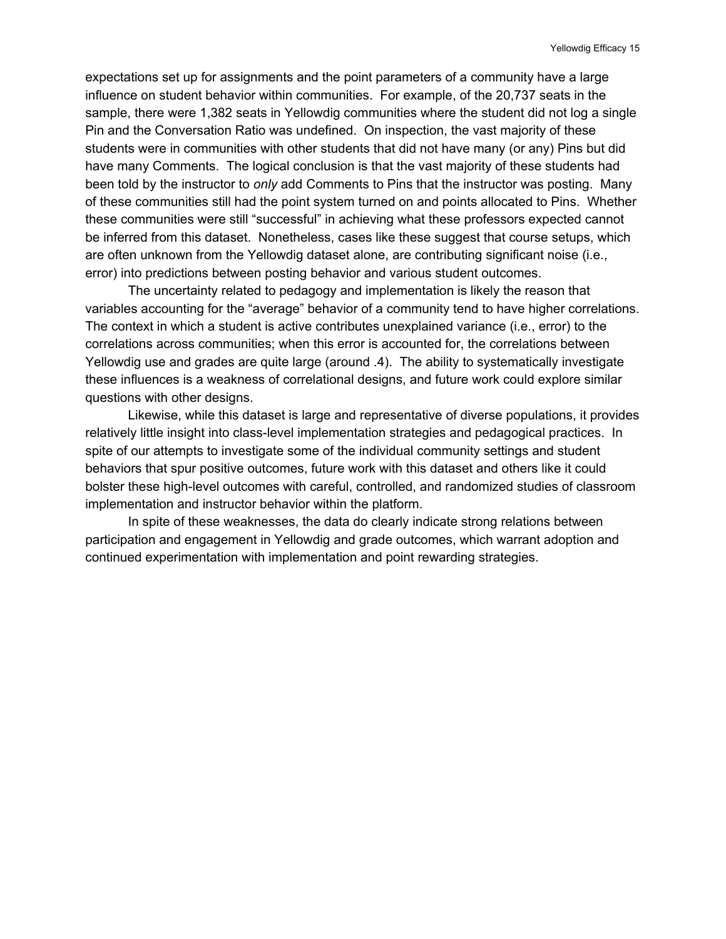expectations set up for assignments and the point parameters of a community have a large influence on student behavior within communities. For example, of the 20,737 seats in the sample, there were 1,382 seats in Yellowdig communities where the student did not log a single Pin and the Conversation Ratio was undefined. On inspection, the vast majority of these students were in communities with other students that did not have many (or any) Pins but did have many Comments. The logical conclusion is that the vast majority of these students had been told by the instructor to *only* add Comments to Pins that the instructor was posting. Many of these communities still had the point system turned on and points allocated to Pins. Whether these communities were still "successful" in achieving what these professors expected cannot be inferred from this dataset. Nonetheless, cases like these suggest that course setups, which are often unknown from the Yellowdig dataset alone, are contributing significant noise (i.e., error) into predictions between posting behavior and various student outcomes.

The uncertainty related to pedagogy and implementation is likely the reason that variables accounting for the "average" behavior of a community tend to have higher correlations. The context in which a student is active contributes unexplained variance (i.e., error) to the correlations across communities; when this error is accounted for, the correlations between Yellowdig use and grades are quite large (around .4). The ability to systematically investigate these influences is a weakness of correlational designs, and future work could explore similar questions with other designs.

Likewise, while this dataset is large and representative of diverse populations, it provides relatively little insight into class-level implementation strategies and pedagogical practices. In spite of our attempts to investigate some of the individual community settings and student behaviors that spur positive outcomes, future work with this dataset and others like it could bolster these high-level outcomes with careful, controlled, and randomized studies of classroom implementation and instructor behavior within the platform.

In spite of these weaknesses, the data do clearly indicate strong relations between participation and engagement in Yellowdig and grade outcomes, which warrant adoption and continued experimentation with implementation and point rewarding strategies.